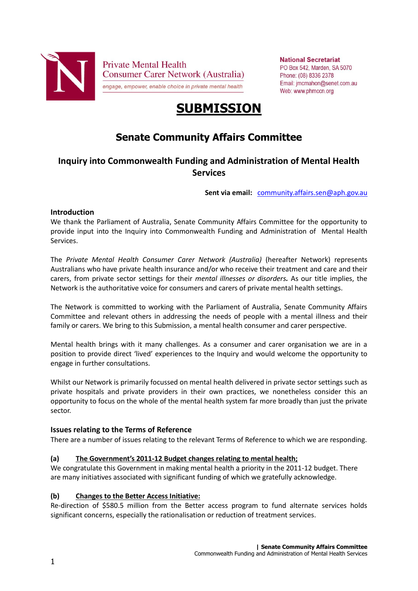

**National Secretariat** PO Box 542, Marden, SA 5070 Phone: (08) 8336 2378 Email: imcmahon@senet.com.au Web: www.phmccn.org

# **SUBMISSION**

## **Senate Community Affairs Committee**

## **Inquiry into Commonwealth Funding and Administration of Mental Health Services**

**Sent via email:** [community.affairs.sen@aph.gov.au](mailto:community.affairs.sen@aph.gov.au)

## **Introduction**

We thank the Parliament of Australia, Senate Community Affairs Committee for the opportunity to provide input into the Inquiry into Commonwealth Funding and Administration of Mental Health Services.

The *Private Mental Health Consumer Carer Network (Australia)* (hereafter Network) represents Australians who have private health insurance and/or who receive their treatment and care and their carers, from private sector settings for their *mental illnesses or disorders.* As our title implies, the Network is the authoritative voice for consumers and carers of private mental health settings.

The Network is committed to working with the Parliament of Australia, Senate Community Affairs Committee and relevant others in addressing the needs of people with a mental illness and their family or carers. We bring to this Submission, a mental health consumer and carer perspective.

Mental health brings with it many challenges. As a consumer and carer organisation we are in a position to provide direct 'lived' experiences to the Inquiry and would welcome the opportunity to engage in further consultations.

Whilst our Network is primarily focussed on mental health delivered in private sector settings such as private hospitals and private providers in their own practices, we nonetheless consider this an opportunity to focus on the whole of the mental health system far more broadly than just the private sector.

## **Issues relating to the Terms of Reference**

There are a number of issues relating to the relevant Terms of Reference to which we are responding.

## **(a) The Government's 2011-12 Budget changes relating to mental health;**

We congratulate this Government in making mental health a priority in the 2011-12 budget. There are many initiatives associated with significant funding of which we gratefully acknowledge.

## **(b) Changes to the Better Access Initiative:**

Re-direction of \$580.5 million from the Better access program to fund alternate services holds significant concerns, especially the rationalisation or reduction of treatment services.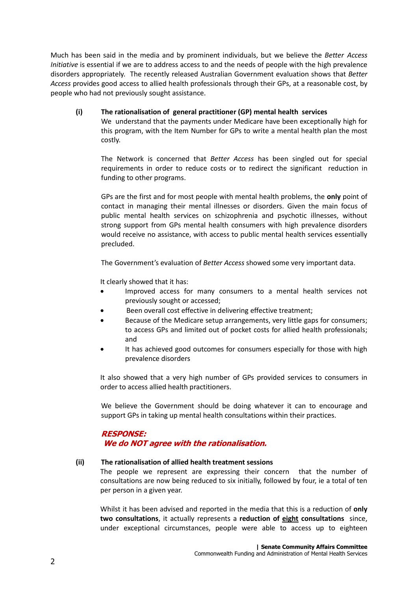Much has been said in the media and by prominent individuals, but we believe the *Better Access Initiative* is essential if we are to address access to and the needs of people with the high prevalence disorders appropriately. The recently released Australian Government evaluation shows that *Better Access* provides good access to allied health professionals through their GPs, at a reasonable cost, by people who had not previously sought assistance.

### **(i) The rationalisation of general practitioner (GP) mental health services**

We understand that the payments under Medicare have been exceptionally high for this program, with the Item Number for GPs to write a mental health plan the most costly.

The Network is concerned that *Better Access* has been singled out for special requirements in order to reduce costs or to redirect the significant reduction in funding to other programs.

GPs are the first and for most people with mental health problems, the **only** point of contact in managing their mental illnesses or disorders. Given the main focus of public mental health services on schizophrenia and psychotic illnesses, without strong support from GPs mental health consumers with high prevalence disorders would receive no assistance, with access to public mental health services essentially precluded.

The Government's evaluation of *Better Access* showed some very important data.

It clearly showed that it has:

- Improved access for many consumers to a mental health services not previously sought or accessed;
- Been overall cost effective in delivering effective treatment;
- Because of the Medicare setup arrangements, very little gaps for consumers; to access GPs and limited out of pocket costs for allied health professionals; and
- It has achieved good outcomes for consumers especially for those with high prevalence disorders

It also showed that a very high number of GPs provided services to consumers in order to access allied health practitioners.

We believe the Government should be doing whatever it can to encourage and support GPs in taking up mental health consultations within their practices.

## **RESPONSE: We do NOT agree with the rationalisation.**

#### **(ii) The rationalisation of allied health treatment sessions**

The people we represent are expressing their concern that the number of consultations are now being reduced to six initially, followed by four, ie a total of ten per person in a given year.

Whilst it has been advised and reported in the media that this is a reduction of **only two consultations**, it actually represents a **reduction of eight consultations** since, under exceptional circumstances, people were able to access up to eighteen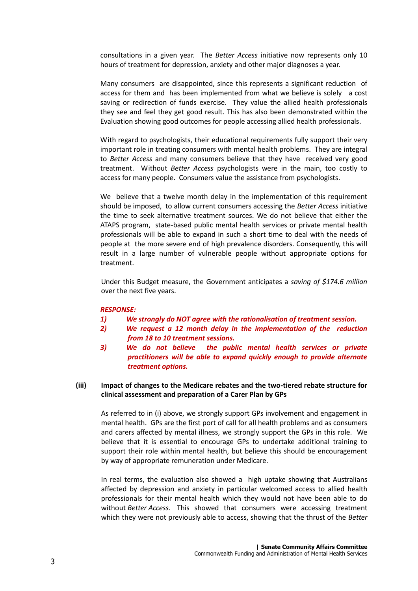consultations in a given year. The *Better Access* initiative now represents only 10 hours of treatment for depression, anxiety and other major diagnoses a year.

Many consumers are disappointed, since this represents a significant reduction of access for them and has been implemented from what we believe is solely a cost saving or redirection of funds exercise. They value the allied health professionals they see and feel they get good result. This has also been demonstrated within the Evaluation showing good outcomes for people accessing allied health professionals.

With regard to psychologists, their educational requirements fully support their very important role in treating consumers with mental health problems. They are integral to *Better Access* and many consumers believe that they have received very good treatment. Without *Better Access* psychologists were in the main, too costly to access for many people. Consumers value the assistance from psychologists.

We believe that a twelve month delay in the implementation of this requirement should be imposed, to allow current consumers accessing the *Better Access* initiative the time to seek alternative treatment sources. We do not believe that either the ATAPS program, state-based public mental health services or private mental health professionals will be able to expand in such a short time to deal with the needs of people at the more severe end of high prevalence disorders. Consequently, this will result in a large number of vulnerable people without appropriate options for treatment.

Under this Budget measure, the Government anticipates a *saving of \$174.6 million* over the next five years.

#### *RESPONSE:*

- *1) We strongly do NOT agree with the rationalisation of treatment session.*
- *2) We request a 12 month delay in the implementation of the reduction from 18 to 10 treatment sessions.*
- *3) We do not believe the public mental health services or private practitioners will be able to expand quickly enough to provide alternate treatment options.*

#### **(iii) Impact of changes to the Medicare rebates and the two-tiered rebate structure for clinical assessment and preparation of a Carer Plan by GPs**

As referred to in (i) above, we strongly support GPs involvement and engagement in mental health. GPs are the first port of call for all health problems and as consumers and carers affected by mental illness, we strongly support the GPs in this role. We believe that it is essential to encourage GPs to undertake additional training to support their role within mental health, but believe this should be encouragement by way of appropriate remuneration under Medicare.

In real terms, the evaluation also showed a high uptake showing that Australians affected by depression and anxiety in particular welcomed access to allied health professionals for their mental health which they would not have been able to do without *Better Access.* This showed that consumers were accessing treatment which they were not previously able to access, showing that the thrust of the *Better*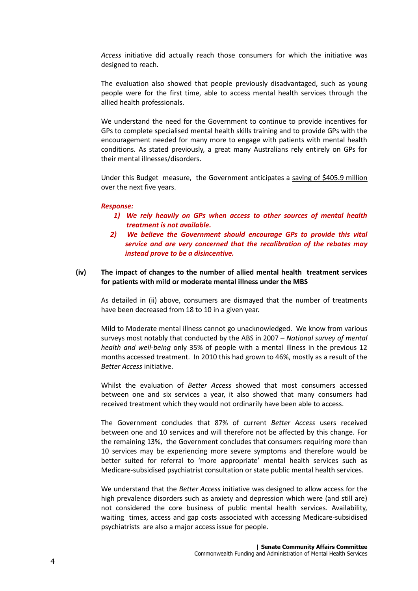*Access* initiative did actually reach those consumers for which the initiative was designed to reach.

The evaluation also showed that people previously disadvantaged, such as young people were for the first time, able to access mental health services through the allied health professionals.

We understand the need for the Government to continue to provide incentives for GPs to complete specialised mental health skills training and to provide GPs with the encouragement needed for many more to engage with patients with mental health conditions. As stated previously, a great many Australians rely entirely on GPs for their mental illnesses/disorders.

Under this Budget measure, the Government anticipates a saving of \$405.9 million over the next five years.

#### *Response:*

- *1) We rely heavily on GPs when access to other sources of mental health treatment is not available.*
- *2) We believe the Government should encourage GPs to provide this vital service and are very concerned that the recalibration of the rebates may instead prove to be a disincentive.*

#### **(iv) The impact of changes to the number of allied mental health treatment services for patients with mild or moderate mental illness under the MBS**

As detailed in (ii) above, consumers are dismayed that the number of treatments have been decreased from 18 to 10 in a given year.

Mild to Moderate mental illness cannot go unacknowledged. We know from various surveys most notably that conducted by the ABS in 2007 – *National survey of mental health and well-being* only 35% of people with a mental illness in the previous 12 months accessed treatment. In 2010 this had grown to 46%, mostly as a result of the *Better Access* initiative.

Whilst the evaluation of *Better Access* showed that most consumers accessed between one and six services a year, it also showed that many consumers had received treatment which they would not ordinarily have been able to access.

The Government concludes that 87% of current *Better Access* users received between one and 10 services and will therefore not be affected by this change. For the remaining 13%, the Government concludes that consumers requiring more than 10 services may be experiencing more severe symptoms and therefore would be better suited for referral to 'more appropriate' mental health services such as Medicare-subsidised psychiatrist consultation or state public mental health services.

We understand that the *Better Access* initiative was designed to allow access for the high prevalence disorders such as anxiety and depression which were (and still are) not considered the core business of public mental health services. Availability, waiting times, access and gap costs associated with accessing Medicare-subsidised psychiatrists are also a major access issue for people.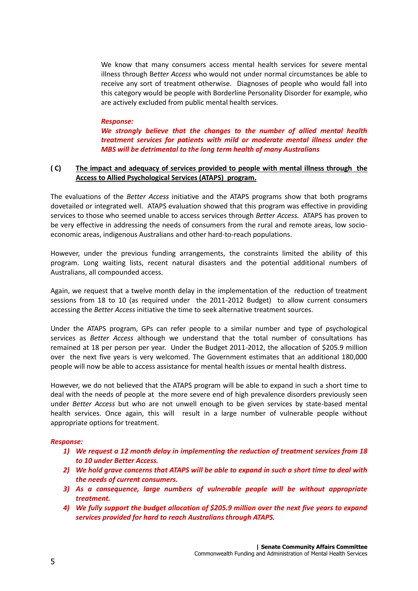We know that many consumers access mental health services for severe mental illness through B*etter Access* who would not under normal circumstances be able to receive any sort of treatment otherwise. Diagnoses of people who would fall into this category would be people with Borderline Personality Disorder for example, who are actively excluded from public mental health services.

#### *Response:*

*We strongly believe that the changes to the number of allied mental health treatment services for patients with mild or moderate mental illness under the MBS will be detrimental to the long term health of many Australians*

#### **( C) The impact and adequacy of services provided to people with mental illness through the Access to Allied Psychological Services (ATAPS) program.**

The evaluations of the *Better Access* initiative and the ATAPS programs show that both programs dovetailed or integrated well. ATAPS evaluation showed that this program was effective in providing services to those who seemed unable to access services through *Better Access.* ATAPS has proven to be very effective in addressing the needs of consumers from the rural and remote areas, low socioeconomic areas, indigenous Australians and other hard-to-reach populations.

However, under the previous funding arrangements, the constraints limited the ability of this program. Long waiting lists, recent natural disasters and the potential additional numbers of Australians, all compounded access.

Again, we request that a twelve month delay in the implementation of the reduction of treatment sessions from 18 to 10 (as required under the 2011-2012 Budget) to allow current consumers accessing the *Better Access* initiative the time to seek alternative treatment sources.

Under the ATAPS program, GPs can refer people to a similar number and type of psychological services as *Better Access* although we understand that the total number of consultations has remained at 18 per person per year. Under the Budget 2011-2012, the allocation of \$205.9 million over the next five years is very welcomed. The Government estimates that an additional 180,000 people will now be able to access assistance for mental health issues or mental health distress.

However, we do not believed that the ATAPS program will be able to expand in such a short time to deal with the needs of people at the more severe end of high prevalence disorders previously seen under *Better Access* but who are not unwell enough to be given services by state-based mental health services. Once again, this will result in a large number of vulnerable people without appropriate options for treatment.

#### *Response:*

- *1) We request a 12 month delay in implementing the reduction of treatment services from 18 to 10 under Better Access.*
- *2) We hold grave concerns that ATAPS will be able to expand in such a short time to deal with the needs of current consumers.*
- *3) As a consequence, large numbers of vulnerable people will be without appropriate treatment.*
- *4) We fully support the budget allocation of \$205.9 million over the next five years to expand services provided for hard to reach Australians through ATAPS.*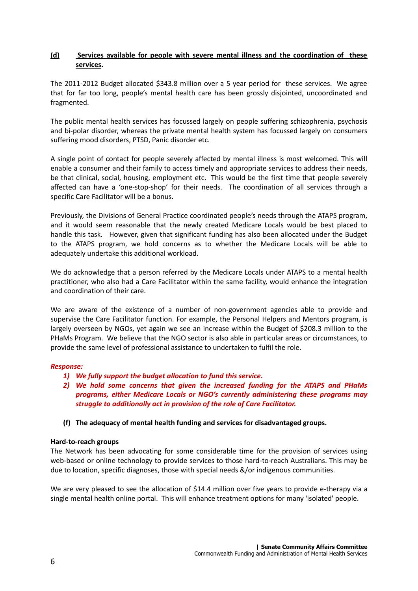## **(d) Services available for people with severe mental illness and the coordination of these services.**

The 2011-2012 Budget allocated \$343.8 million over a 5 year period for these services. We agree that for far too long, people's mental health care has been grossly disjointed, uncoordinated and fragmented.

The public mental health services has focussed largely on people suffering schizophrenia, psychosis and bi-polar disorder, whereas the private mental health system has focussed largely on consumers suffering mood disorders, PTSD, Panic disorder etc.

A single point of contact for people severely affected by mental illness is most welcomed. This will enable a consumer and their family to access timely and appropriate services to address their needs, be that clinical, social, housing, employment etc. This would be the first time that people severely affected can have a 'one-stop-shop' for their needs. The coordination of all services through a specific Care Facilitator will be a bonus.

Previously, the Divisions of General Practice coordinated people's needs through the ATAPS program, and it would seem reasonable that the newly created Medicare Locals would be best placed to handle this task. However, given that significant funding has also been allocated under the Budget to the ATAPS program, we hold concerns as to whether the Medicare Locals will be able to adequately undertake this additional workload.

We do acknowledge that a person referred by the Medicare Locals under ATAPS to a mental health practitioner, who also had a Care Facilitator within the same facility, would enhance the integration and coordination of their care.

We are aware of the existence of a number of non-government agencies able to provide and supervise the Care Facilitator function. For example, the Personal Helpers and Mentors program, is largely overseen by NGOs, yet again we see an increase within the Budget of \$208.3 million to the PHaMs Program. We believe that the NGO sector is also able in particular areas or circumstances, to provide the same level of professional assistance to undertaken to fulfil the role.

#### *Response:*

- *1) We fully support the budget allocation to fund this service.*
- *2) We hold some concerns that given the increased funding for the ATAPS and PHaMs programs, either Medicare Locals or NGO's currently administering these programs may struggle to additionally act in provision of the role of Care Facilitator.*
- **(f) The adequacy of mental health funding and services for disadvantaged groups.**

#### **Hard-to-reach groups**

The Network has been advocating for some considerable time for the provision of services using web-based or online technology to provide services to those hard-to-reach Australians. This may be due to location, specific diagnoses, those with special needs &/or indigenous communities.

We are very pleased to see the allocation of \$14.4 million over five years to provide e-therapy via a single mental health online portal. This will enhance treatment options for many 'isolated' people.